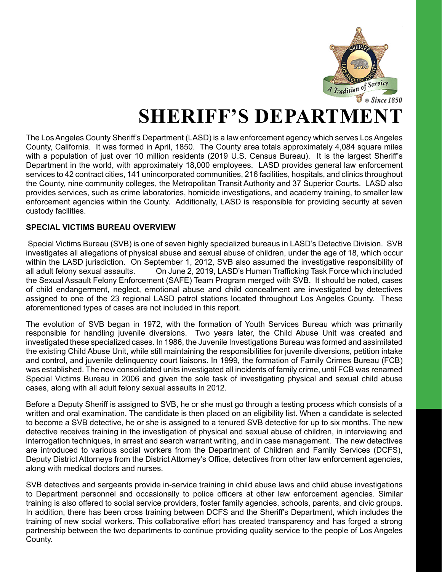

# **SHERIFF'S DEPARTM**

The Los Angeles County Sheriff's Department (LASD) is a law enforcement agency which serves Los Angeles County, California. It was formed in April, 1850. The County area totals approximately 4,084 square miles with a population of just over 10 million residents (2019 U.S. Census Bureau). It is the largest Sheriff's Department in the world, with approximately 18,000 employees. LASD provides general law enforcement services to 42 contract cities, 141 unincorporated communities, 216 facilities, hospitals, and clinics throughout the County, nine community colleges, the Metropolitan Transit Authority and 37 Superior Courts. LASD also provides services, such as crime laboratories, homicide investigations, and academy training, to smaller law enforcement agencies within the County. Additionally, LASD is responsible for providing security at seven custody facilities.

#### **SPECIAL VICTIMS BUREAU OVERVIEW**

 Special Victims Bureau (SVB) is one of seven highly specialized bureaus in LASD's Detective Division. SVB investigates all allegations of physical abuse and sexual abuse of children, under the age of 18, which occur within the LASD jurisdiction. On September 1, 2012, SVB also assumed the investigative responsibility of all adult felony sexual assaults. On June 2, 2019, LASD's Human Trafficking Task Force which included the Sexual Assault Felony Enforcement (SAFE) Team Program merged with SVB. It should be noted, cases of child endangerment, neglect, emotional abuse and child concealment are investigated by detectives assigned to one of the 23 regional LASD patrol stations located throughout Los Angeles County. These aforementioned types of cases are not included in this report.

The evolution of SVB began in 1972, with the formation of Youth Services Bureau which was primarily responsible for handling juvenile diversions. Two years later, the Child Abuse Unit was created and investigated these specialized cases. In 1986, the Juvenile Investigations Bureau was formed and assimilated the existing Child Abuse Unit, while still maintaining the responsibilities for juvenile diversions, petition intake and control, and juvenile delinquency court liaisons. In 1999, the formation of Family Crimes Bureau (FCB) was established. The new consolidated units investigated all incidents of family crime, until FCB was renamed Special Victims Bureau in 2006 and given the sole task of investigating physical and sexual child abuse cases, along with all adult felony sexual assaults in 2012.

Before a Deputy Sheriff is assigned to SVB, he or she must go through a testing process which consists of a written and oral examination. The candidate is then placed on an eligibility list. When a candidate is selected to become a SVB detective, he or she is assigned to a tenured SVB detective for up to six months. The new detective receives training in the investigation of physical and sexual abuse of children, in interviewing and interrogation techniques, in arrest and search warrant writing, and in case management. The new detectives are introduced to various social workers from the Department of Children and Family Services (DCFS), Deputy District Attorneys from the District Attorney's Office, detectives from other law enforcement agencies, along with medical doctors and nurses.

SVB detectives and sergeants provide in-service training in child abuse laws and child abuse investigations to Department personnel and occasionally to police officers at other law enforcement agencies. Similar training is also offered to social service providers, foster family agencies, schools, parents, and civic groups. In addition, there has been cross training between DCFS and the Sheriff's Department, which includes the training of new social workers. This collaborative effort has created transparency and has forged a strong partnership between the two departments to continue providing quality service to the people of Los Angeles County.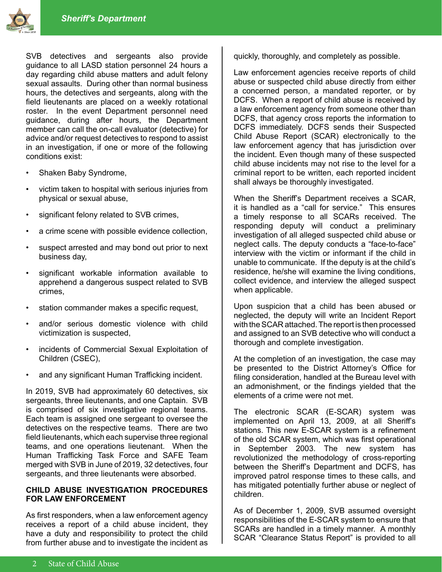



SVB detectives and sergeants also provide guidance to all LASD station personnel 24 hours a day regarding child abuse matters and adult felony sexual assaults. During other than normal business hours, the detectives and sergeants, along with the field lieutenants are placed on a weekly rotational roster. In the event Department personnel need guidance, during after hours, the Department member can call the on-call evaluator (detective) for advice and/or request detectives to respond to assist in an investigation, if one or more of the following conditions exist:

- Shaken Baby Syndrome,
- victim taken to hospital with serious injuries from physical or sexual abuse,
- significant felony related to SVB crimes,
- a crime scene with possible evidence collection,
- suspect arrested and may bond out prior to next business day,
- significant workable information available to apprehend a dangerous suspect related to SVB crimes,
- station commander makes a specific request,
- and/or serious domestic violence with child victimization is suspected,
- incidents of Commercial Sexual Exploitation of Children (CSEC),
- and any significant Human Trafficking incident.

In 2019, SVB had approximately 60 detectives, six sergeants, three lieutenants, and one Captain. SVB is comprised of six investigative regional teams. Each team is assigned one sergeant to oversee the detectives on the respective teams. There are two field lieutenants, which each supervise three regional teams, and one operations lieutenant. When the Human Trafficking Task Force and SAFE Team merged with SVB in June of 2019, 32 detectives, four sergeants, and three lieutenants were absorbed.

#### **CHILD ABUSE INVESTIGATION PROCEDURES FOR LAW ENFORCEMENT**

As first responders, when a law enforcement agency receives a report of a child abuse incident, they have a duty and responsibility to protect the child from further abuse and to investigate the incident as

quickly, thoroughly, and completely as possible.

Law enforcement agencies receive reports of child abuse or suspected child abuse directly from either a concerned person, a mandated reporter, or by DCFS. When a report of child abuse is received by a law enforcement agency from someone other than DCFS, that agency cross reports the information to DCFS immediately. DCFS sends their Suspected Child Abuse Report (SCAR) electronically to the law enforcement agency that has jurisdiction over the incident. Even though many of these suspected child abuse incidents may not rise to the level for a criminal report to be written, each reported incident shall always be thoroughly investigated.

When the Sheriff's Department receives a SCAR, it is handled as a "call for service." This ensures a timely response to all SCARs received. The responding deputy will conduct a preliminary investigation of all alleged suspected child abuse or neglect calls. The deputy conducts a "face-to-face" interview with the victim or informant if the child in unable to communicate. If the deputy is at the child's residence, he/she will examine the living conditions, collect evidence, and interview the alleged suspect when applicable.

Upon suspicion that a child has been abused or neglected, the deputy will write an Incident Report with the SCAR attached. The report is then processed and assigned to an SVB detective who will conduct a thorough and complete investigation.

At the completion of an investigation, the case may be presented to the District Attorney's Office for filing consideration, handled at the Bureau level with an admonishment, or the findings yielded that the elements of a crime were not met.

The electronic SCAR (E-SCAR) system was implemented on April 13, 2009, at all Sheriff's stations. This new E-SCAR system is a refinement of the old SCAR system, which was first operational in September 2003. The new system has revolutionized the methodology of cross-reporting between the Sheriff's Department and DCFS, has improved patrol response times to these calls, and has mitigated potentially further abuse or neglect of children.

As of December 1, 2009, SVB assumed oversight responsibilities of the E-SCAR system to ensure that SCARs are handled in a timely manner. A monthly SCAR "Clearance Status Report" is provided to all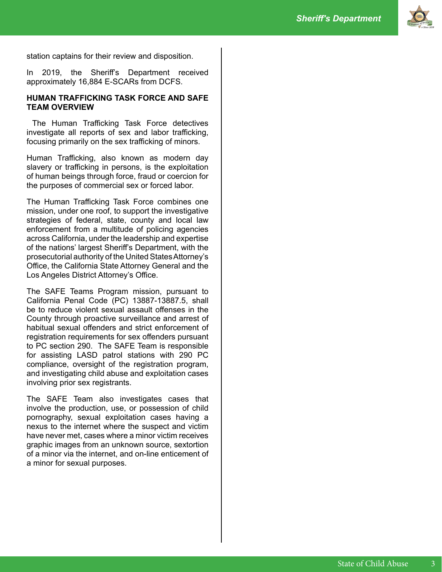

station captains for their review and disposition.

In 2019, the Sheriff's Department received approximately 16,884 E-SCARs from DCFS.

#### **HUMAN TRAFFICKING TASK FORCE AND SAFE TEAM OVERVIEW**

 The Human Trafficking Task Force detectives investigate all reports of sex and labor trafficking, focusing primarily on the sex trafficking of minors.

Human Trafficking, also known as modern day slavery or trafficking in persons, is the exploitation of human beings through force, fraud or coercion for the purposes of commercial sex or forced labor.

The Human Trafficking Task Force combines one mission, under one roof, to support the investigative strategies of federal, state, county and local law enforcement from a multitude of policing agencies across California, under the leadership and expertise of the nations' largest Sheriff's Department, with the prosecutorial authority of the United States Attorney's Office, the California State Attorney General and the Los Angeles District Attorney's Office.

The SAFE Teams Program mission, pursuant to California Penal Code (PC) 13887-13887.5, shall be to reduce violent sexual assault offenses in the County through proactive surveillance and arrest of habitual sexual offenders and strict enforcement of registration requirements for sex offenders pursuant to PC section 290. The SAFE Team is responsible for assisting LASD patrol stations with 290 PC compliance, oversight of the registration program, and investigating child abuse and exploitation cases involving prior sex registrants.

The SAFE Team also investigates cases that involve the production, use, or possession of child pornography, sexual exploitation cases having a nexus to the internet where the suspect and victim have never met, cases where a minor victim receives graphic images from an unknown source, sextortion of a minor via the internet, and on-line enticement of a minor for sexual purposes.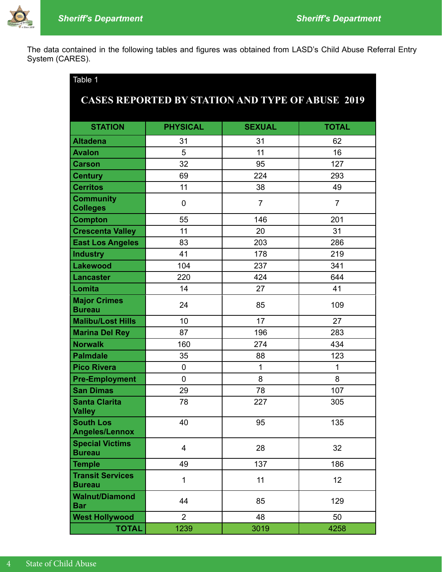

The data contained in the following tables and figures was obtained from LASD's Child Abuse Referral Entry System (CARES).

| Table 1                                   |                 |                                                         |                 |  |  |  |  |  |
|-------------------------------------------|-----------------|---------------------------------------------------------|-----------------|--|--|--|--|--|
|                                           |                 | <b>CASES REPORTED BY STATION AND TYPE OF ABUSE 2019</b> |                 |  |  |  |  |  |
|                                           |                 |                                                         |                 |  |  |  |  |  |
| <b>STATION</b>                            | <b>PHYSICAL</b> | <b>SEXUAL</b>                                           | <b>TOTAL</b>    |  |  |  |  |  |
| <b>Altadena</b>                           | 31              | 31                                                      | 62              |  |  |  |  |  |
| <b>Avalon</b>                             | 5               | 11                                                      | 16              |  |  |  |  |  |
| <b>Carson</b>                             | 32              | 95                                                      | 127             |  |  |  |  |  |
| <b>Century</b>                            | 69              | 224                                                     | 293             |  |  |  |  |  |
| <b>Cerritos</b>                           | 11              | 38                                                      | 49              |  |  |  |  |  |
| <b>Community</b><br><b>Colleges</b>       | $\overline{0}$  | $\overline{7}$                                          | $\overline{7}$  |  |  |  |  |  |
| <b>Compton</b>                            | 55              | 146                                                     | 201             |  |  |  |  |  |
| <b>Crescenta Valley</b>                   | 11              | 20                                                      | 31              |  |  |  |  |  |
| <b>East Los Angeles</b>                   | 83              | 203                                                     | 286             |  |  |  |  |  |
| <b>Industry</b>                           | 41              | 178                                                     | 219             |  |  |  |  |  |
| <b>Lakewood</b>                           | 104             | 237                                                     | 341             |  |  |  |  |  |
| <b>Lancaster</b>                          | 220             | 424                                                     | 644             |  |  |  |  |  |
| Lomita                                    | 14              | 27                                                      | 41              |  |  |  |  |  |
| <b>Major Crimes</b><br><b>Bureau</b>      | 24              | 85                                                      | 109             |  |  |  |  |  |
| <b>Malibu/Lost Hills</b>                  | 10              | 17                                                      | 27              |  |  |  |  |  |
| <b>Marina Del Rey</b>                     | 87              | 196                                                     | 283             |  |  |  |  |  |
| <b>Norwalk</b>                            | 160             | 274                                                     | 434             |  |  |  |  |  |
| <b>Palmdale</b>                           | 35              | 88                                                      | 123             |  |  |  |  |  |
| <b>Pico Rivera</b>                        | $\mathbf 0$     | 1                                                       | $\mathbf{1}$    |  |  |  |  |  |
| <b>Pre-Employment</b>                     | $\overline{0}$  | 8                                                       | 8               |  |  |  |  |  |
| <b>San Dimas</b>                          | 29              | 78                                                      | 107             |  |  |  |  |  |
| <b>Santa Clarita</b><br><b>Valley</b>     | 78              | 227                                                     | 305             |  |  |  |  |  |
| <b>South Los</b><br><b>Angeles/Lennox</b> | 40              | 95                                                      | 135             |  |  |  |  |  |
| <b>Special Victims</b><br><b>Bureau</b>   | $\overline{4}$  | 28                                                      | 32              |  |  |  |  |  |
| <b>Temple</b>                             | 49              | 137                                                     | 186             |  |  |  |  |  |
| <b>Transit Services</b><br><b>Bureau</b>  | $\mathbf{1}$    | 11                                                      | 12 <sub>2</sub> |  |  |  |  |  |
| <b>Walnut/Diamond</b><br>Bar              | 44              | 85                                                      | 129             |  |  |  |  |  |
| <b>West Hollywood</b>                     | $\overline{2}$  | 48                                                      | 50              |  |  |  |  |  |
| <b>TOTAL</b>                              | 1239            | 3019                                                    | 4258            |  |  |  |  |  |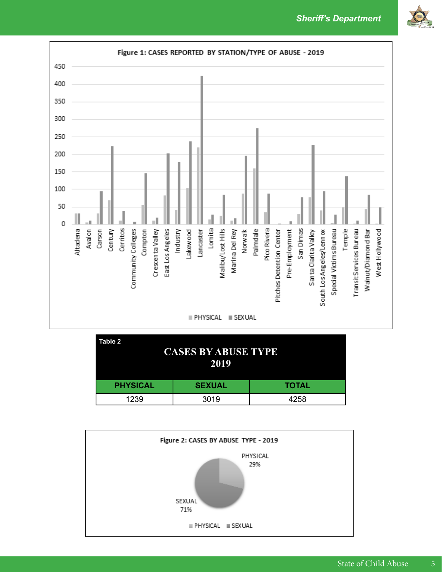*Sheriff's Department*





| Table 2<br><b>CASES BY ABUSE TYPE</b><br>2019 |               |              |  |  |  |
|-----------------------------------------------|---------------|--------------|--|--|--|
| <b>PHYSICAL</b>                               | <b>SEXUAL</b> | <b>TOTAL</b> |  |  |  |
| 1239                                          | 3019          | 4258         |  |  |  |

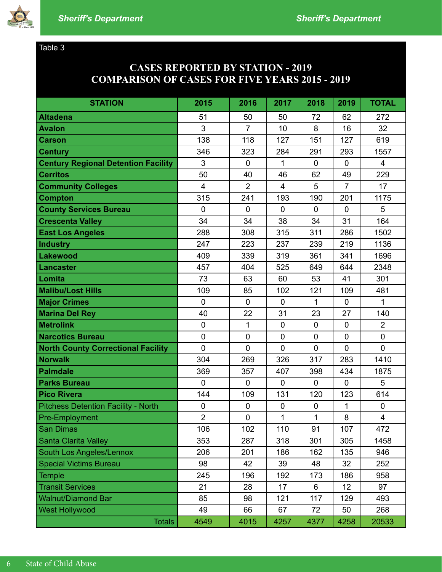

#### Table 3

## **CASES REPORTED BY STATION - 2019 COMPARISON OF CASES FOR FIVE YEARS 2015 - 2019**

| <b>STATION</b>                             | 2015             | 2016           | 2017             | 2018        | 2019           | <b>TOTAL</b>   |
|--------------------------------------------|------------------|----------------|------------------|-------------|----------------|----------------|
| <b>Altadena</b>                            | 51               | 50             | 50               | 72          | 62             | 272            |
| <b>Avalon</b>                              | 3                | $\overline{7}$ | 10               | 8           | 16             | 32             |
| <b>Carson</b>                              | 138              | 118            | 127              | 151         | 127            | 619            |
| <b>Century</b>                             | 346              | 323            | 284              | 291         | 293            | 1557           |
| <b>Century Regional Detention Facility</b> | 3                | $\mathbf 0$    | 1                | $\mathbf 0$ | $\mathbf 0$    | 4              |
| <b>Cerritos</b>                            | 50               | 40             | 46               | 62          | 49             | 229            |
| <b>Community Colleges</b>                  | $\overline{4}$   | $\overline{2}$ | $\overline{4}$   | 5           | $\overline{7}$ | 17             |
| <b>Compton</b>                             | 315              | 241            | 193              | 190         | 201            | 1175           |
| <b>County Services Bureau</b>              | $\overline{0}$   | $\overline{0}$ | $\overline{0}$   | $\mathbf 0$ | $\mathbf 0$    | 5              |
| <b>Crescenta Valley</b>                    | 34               | 34             | 38               | 34          | 31             | 164            |
| <b>East Los Angeles</b>                    | 288              | 308            | 315              | 311         | 286            | 1502           |
| Industry                                   | 247              | 223            | 237              | 239         | 219            | 1136           |
| <b>Lakewood</b>                            | 409              | 339            | 319              | 361         | 341            | 1696           |
| <b>Lancaster</b>                           | 457              | 404            | 525              | 649         | 644            | 2348           |
| Lomita                                     | 73               | 63             | 60               | 53          | 41             | 301            |
| <b>Malibu/Lost Hills</b>                   | 109              | 85             | 102              | 121         | 109            | 481            |
| <b>Major Crimes</b>                        | $\mathbf 0$      | $\mathbf 0$    | $\overline{0}$   | 1           | 0              | 1              |
| <b>Marina Del Rey</b>                      | 40               | 22             | 31               | 23          | 27             | 140            |
| <b>Metrolink</b>                           | $\mathbf 0$      | $\mathbf{1}$   | 0                | $\mathbf 0$ | $\mathbf 0$    | $\overline{2}$ |
| <b>Narcotics Bureau</b>                    | $\mathbf 0$      | $\mathbf 0$    | $\mathbf 0$      | $\mathbf 0$ | $\mathbf 0$    | $\mathbf 0$    |
| <b>North County Correctional Facility</b>  | $\overline{0}$   | $\overline{0}$ | $\overline{0}$   | $\mathbf 0$ | $\overline{0}$ | $\overline{0}$ |
| <b>Norwalk</b>                             | 304              | 269            | 326              | 317         | 283            | 1410           |
| <b>Palmdale</b>                            | 369              | 357            | 407              | 398         | 434            | 1875           |
| <b>Parks Bureau</b>                        | $\overline{0}$   | $\overline{0}$ | $\overline{0}$   | $\mathbf 0$ | $\mathbf 0$    | 5              |
| <b>Pico Rivera</b>                         | 144              | 109            | 131              | 120         | 123            | 614            |
| <b>Pitchess Detention Facility - North</b> | $\boldsymbol{0}$ | $\mathbf 0$    | $\boldsymbol{0}$ | $\mathbf 0$ | 1              | $\mathbf 0$    |
| <b>Pre-Employment</b>                      | $\overline{2}$   | $\mathbf 0$    | $\mathbf{1}$     | 1           | 8              | $\overline{4}$ |
| <b>San Dimas</b>                           | 106              | 102            | 110              | 91          | 107            | 472            |
| <b>Santa Clarita Valley</b>                | 353              | 287            | 318              | 301         | 305            | 1458           |
| <b>South Los Angeles/Lennox</b>            | 206              | 201            | 186              | 162         | 135            | 946            |
| <b>Special Victims Bureau</b>              | 98               | 42             | 39               | 48          | 32             | 252            |
| <b>Temple</b>                              | 245              | 196            | 192              | 173         | 186            | 958            |
| <b>Transit Services</b>                    | 21               | 28             | 17               | 6           | 12             | 97             |
| <b>Walnut/Diamond Bar</b>                  | 85               | 98             | 121              | 117         | 129            | 493            |
| <b>West Hollywood</b>                      | 49               | 66             | 67               | 72          | 50             | 268            |
| <b>Totals</b>                              | 4549             | 4015           | 4257             | 4377        | 4258           | 20533          |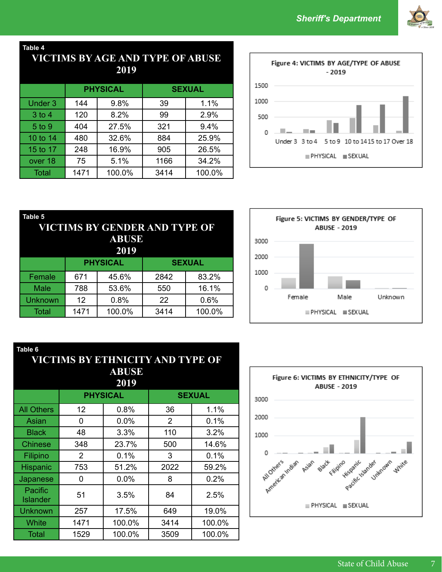

**Table 4**

## **VICTIMS BY AGE AND TYPE OF ABUSE 2019**

|                |             | <b>PHYSICAL</b> | <b>SEXUAL</b> |        |  |
|----------------|-------------|-----------------|---------------|--------|--|
| <b>Under 3</b> | 9.8%<br>144 |                 | 39            | 1.1%   |  |
| $3$ to $4$     | 120         | 8.2%            | 99            | 2.9%   |  |
| 5 to 9         | 404         | 27.5%           | 321           | 9.4%   |  |
| 10 to 14       | 480         | 32.6%           | 884           | 25.9%  |  |
| 15 to 17       | 248         | 16.9%           | 905           | 26.5%  |  |
| over 18        | 75          | 5.1%            | 1166          | 34.2%  |  |
| <b>Total</b>   | 1471        | 100.0%          | 3414          | 100.0% |  |



| Table 5<br>VICTIMS BY GENDER AND TYPE OF<br><b>ABUSE</b><br>2019 |            |                 |               |        |  |  |  |
|------------------------------------------------------------------|------------|-----------------|---------------|--------|--|--|--|
|                                                                  |            | <b>PHYSICAL</b> | <b>SEXUAL</b> |        |  |  |  |
| Female                                                           | 671        | 45.6%           | 2842          | 83.2%  |  |  |  |
| <b>Male</b>                                                      | 788        | 53.6%           | 550           | 16.1%  |  |  |  |
| <b>Unknown</b>                                                   | 0.8%<br>12 |                 | 22            | 0.6%   |  |  |  |
| <b>Total</b>                                                     | 1471       | 100.0%          | 3414          | 100.0% |  |  |  |



| Table 6                          |                                  |              |                |        |  |  |  |  |
|----------------------------------|----------------------------------|--------------|----------------|--------|--|--|--|--|
|                                  | VICTIMS BY ETHNICITY AND TYPE OF |              |                |        |  |  |  |  |
|                                  |                                  | <b>ABUSE</b> |                |        |  |  |  |  |
| 2019                             |                                  |              |                |        |  |  |  |  |
| <b>PHYSICAL</b><br><b>SEXUAL</b> |                                  |              |                |        |  |  |  |  |
| <b>All Others</b>                | 12                               | 0.8%         | 36             | 1.1%   |  |  |  |  |
| Asian                            | 0                                | 0.0%         | $\overline{2}$ | 0.1%   |  |  |  |  |
| <b>Black</b>                     | 48                               | 3.3%         | 110            | 3.2%   |  |  |  |  |
| <b>Chinese</b>                   | 348                              | 23.7%        | 500            | 14.6%  |  |  |  |  |
| Filipino                         | 2                                | 0.1%         | 3              | 0.1%   |  |  |  |  |
| Hispanic                         | 753                              | 51.2%        | 2022           | 59.2%  |  |  |  |  |
| <b>Japanese</b>                  | 0                                | 0.0%         | 8              | 0.2%   |  |  |  |  |
| Pacific<br><b>Islander</b>       | 51                               | 3.5%         | 84             | 2.5%   |  |  |  |  |
| <b>Unknown</b>                   | 257                              | 17.5%        | 649            | 19.0%  |  |  |  |  |
| White                            | 1471                             | 100.0%       | 3414           | 100.0% |  |  |  |  |
| <b>Total</b>                     | 1529                             | 100.0%       | 3509           | 100.0% |  |  |  |  |

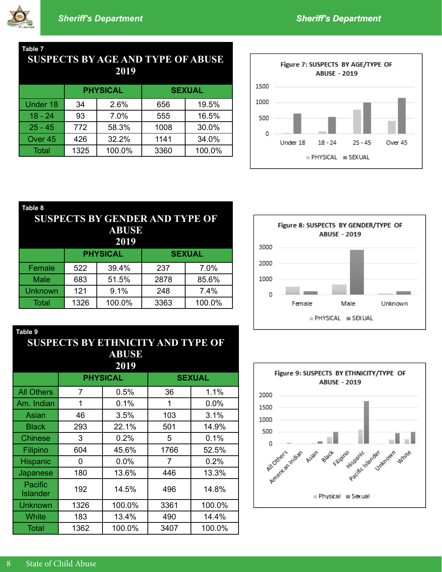

**Table 9**

### **Table 7 SUSPECTS BY AGE AND TYPE OF ABUSE**

|           |                | <b>PHYSICAL</b> | <b>SEXUAL</b> |        |  |
|-----------|----------------|-----------------|---------------|--------|--|
| Under 18  | 34             | 2.6%            |               | 19.5%  |  |
| $18 - 24$ | 93             | 7.0%            | 555           | 16.5%  |  |
| $25 - 45$ | 772            | 58.3%           | 1008          | 30.0%  |  |
| Over 45   | 426            | 32.2%           | 1141          | 34.0%  |  |
| Total     | 100.0%<br>1325 |                 | 3360          | 100.0% |  |



| Table 8<br><b>SUSPECTS BY GENDER AND TYPE OF</b><br><b>ABUSE</b><br>2019 |                 |        |      |               |  |  |  |
|--------------------------------------------------------------------------|-----------------|--------|------|---------------|--|--|--|
|                                                                          | <b>PHYSICAL</b> |        |      | <b>SEXUAL</b> |  |  |  |
| Female                                                                   | 522             | 39.4%  |      | 7.0%          |  |  |  |
| Male                                                                     | 683             | 51.5%  | 2878 | 85.6%         |  |  |  |
| <b>Unknown</b>                                                           | 9.1%<br>121     |        | 248  | 7.4%          |  |  |  |
| Total                                                                    | 1326            | 100.0% | 3363 | 100.0%        |  |  |  |





## **SUSPECTS BY ETHNICITY AND TYPE OF ABUSE 2019**

| 4V L Z                     |      |                 |               |        |  |  |  |
|----------------------------|------|-----------------|---------------|--------|--|--|--|
|                            |      | <b>PHYSICAL</b> | <b>SEXUAL</b> |        |  |  |  |
| <b>All Others</b>          | 7    | 0.5%            | 36            | 1.1%   |  |  |  |
| Am. Indian                 | 1    | 0.1%            | 1             | 0.0%   |  |  |  |
| Asian                      | 46   | 3.5%            | 103           | 3.1%   |  |  |  |
| <b>Black</b>               | 293  | 22.1%           | 501           | 14.9%  |  |  |  |
| <b>Chinese</b>             | 3    | 0.2%            | 5             | 0.1%   |  |  |  |
| Filipino                   | 604  | 45.6%           | 1766          | 52.5%  |  |  |  |
| Hispanic                   | 0    | 0.0%            | 7             | 0.2%   |  |  |  |
| Japanese                   | 180  | 13.6%           | 446           | 13.3%  |  |  |  |
| Pacific<br><b>Islander</b> | 192  | 14.5%           | 496           | 14.8%  |  |  |  |
| <b>Unknown</b>             | 1326 | 100.0%          | 3361          | 100.0% |  |  |  |
| White                      | 183  | 13.4%           | 490           | 14.4%  |  |  |  |
| <b>Total</b>               | 1362 | 100.0%          | 3407          | 100.0% |  |  |  |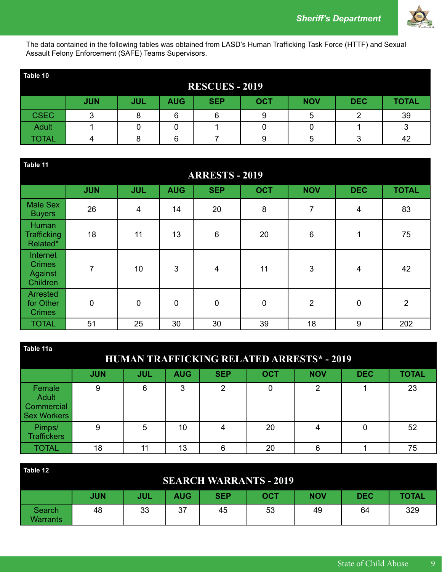

The data contained in the following tables was obtained from LASD's Human Trafficking Task Force (HTTF) and Sexual Assault Felony Enforcement (SAFE) Teams Supervisors.

| Table 10     |            |            |            |                       |            |            |            |              |
|--------------|------------|------------|------------|-----------------------|------------|------------|------------|--------------|
|              |            |            |            | <b>RESCUES - 2019</b> |            |            |            |              |
|              | <b>JUN</b> | <b>JUL</b> | <b>AUG</b> | <b>SEP</b>            | <b>OCT</b> | <b>NOV</b> | <b>DEC</b> | <b>TOTAL</b> |
| <b>CSEC</b>  | ◠          |            | 6          | 6                     |            |            |            | 39           |
| <b>Adult</b> |            |            |            |                       |            |            |            |              |
| <b>TOTAL</b> |            |            | 6          |                       |            |            |            | 42           |

| Table 11<br><b>ARRESTS - 2019</b>                       |                |             |              |                |             |                |                |                |
|---------------------------------------------------------|----------------|-------------|--------------|----------------|-------------|----------------|----------------|----------------|
|                                                         | <b>JUN</b>     | <b>JUL</b>  | <b>AUG</b>   | <b>SEP</b>     | <b>OCT</b>  | <b>NOV</b>     | <b>DEC</b>     | <b>TOTAL</b>   |
| <b>Male Sex</b><br><b>Buyers</b>                        | 26             | 4           | 14           | 20             | 8           | 7              | $\overline{4}$ | 83             |
| <b>Human</b><br><b>Trafficking</b><br>Related*          | 18             | 11          | 13           | $\,6$          | 20          | 6              | 1              | 75             |
| Internet<br><b>Crimes</b><br><b>Against</b><br>Children | $\overline{7}$ | 10          | $\mathbf{3}$ | $\overline{4}$ | 11          | 3              | 4              | 42             |
| Arrested<br>for Other<br><b>Crimes</b>                  | $\mathbf 0$    | $\mathbf 0$ | $\mathbf 0$  | $\mathbf 0$    | $\mathbf 0$ | $\overline{2}$ | $\mathbf 0$    | $\overline{2}$ |
| <b>TOTAL</b>                                            | 51             | 25          | 30           | 30             | 39          | 18             | 9              | 202            |

| Table 11a<br><b>HUMAN TRAFFICKING RELATED ARRESTS* - 2019</b> |            |            |            |            |            |            |            |              |  |  |  |  |  |
|---------------------------------------------------------------|------------|------------|------------|------------|------------|------------|------------|--------------|--|--|--|--|--|
|                                                               | <b>JUN</b> | <b>JUL</b> | <b>AUG</b> | <b>SEP</b> | <b>OCT</b> | <b>NOV</b> | <b>DEC</b> | <b>TOTAL</b> |  |  |  |  |  |
| Female<br><b>Adult</b><br>Commercial<br><b>Sex Workers</b>    | 9          | 6          | 3          | 2          | 0          | 2          |            | 23           |  |  |  |  |  |
| Pimps/<br><b>Traffickers</b>                                  | 9          | 5          | 10         | 4          | 20         | 4          | 0          | 52           |  |  |  |  |  |
| TOTAL                                                         | 18         | 11         | 13         | 6          | 20         | 6          |            | 75           |  |  |  |  |  |

| Table 12           | <b>SEARCH WARRANTS - 2019</b> |            |            |            |            |            |            |              |  |  |  |  |  |
|--------------------|-------------------------------|------------|------------|------------|------------|------------|------------|--------------|--|--|--|--|--|
|                    | <b>JUN</b>                    | <b>JUL</b> | <b>AUG</b> | <b>SEP</b> | <b>OCT</b> | <b>NOV</b> | <b>DEC</b> | <b>TOTAL</b> |  |  |  |  |  |
| Search<br>Warrants | 48                            | 33         | 37         | 45         | 53         | 49         | 64         | 329          |  |  |  |  |  |